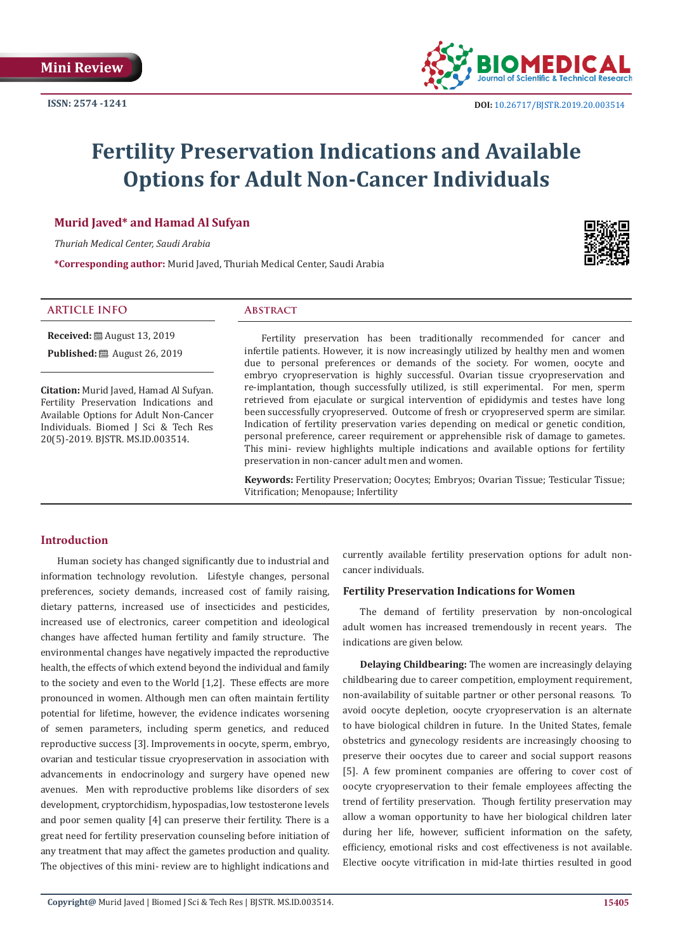

# **Fertility Preservation Indications and Available Options for Adult Non-Cancer Individuals**

# **Murid Javed\* and Hamad Al Sufyan**

*Thuriah Medical Center, Saudi Arabia*

**\*Corresponding author:** Murid Javed, Thuriah Medical Center, Saudi Arabia

#### **ARTICLE INFO Abstract**

**Received:** ■ August 13, 2019 **Published:** ■ August 26, 2019

**Citation:** Murid Javed, Hamad Al Sufyan. Fertility Preservation Indications and Available Options for Adult Non-Cancer Individuals. Biomed J Sci & Tech Res 20(5)-2019. BJSTR. MS.ID.003514.

Fertility preservation has been traditionally recommended for cancer and infertile patients. However, it is now increasingly utilized by healthy men and women due to personal preferences or demands of the society. For women, oocyte and embryo cryopreservation is highly successful. Ovarian tissue cryopreservation and re-implantation, though successfully utilized, is still experimental. For men, sperm retrieved from ejaculate or surgical intervention of epididymis and testes have long been successfully cryopreserved. Outcome of fresh or cryopreserved sperm are similar. Indication of fertility preservation varies depending on medical or genetic condition, personal preference, career requirement or apprehensible risk of damage to gametes. This mini- review highlights multiple indications and available options for fertility preservation in non-cancer adult men and women.

**Keywords:** Fertility Preservation; Oocytes; Embryos; Ovarian Tissue; Testicular Tissue; Vitrification; Menopause; Infertility

# **Introduction**

Human society has changed significantly due to industrial and information technology revolution. Lifestyle changes, personal preferences, society demands, increased cost of family raising, dietary patterns, increased use of insecticides and pesticides, increased use of electronics, career competition and ideological changes have affected human fertility and family structure. The environmental changes have negatively impacted the reproductive health, the effects of which extend beyond the individual and family to the society and even to the World [1,2]. These effects are more pronounced in women. Although men can often maintain fertility potential for lifetime, however, the evidence indicates worsening of semen parameters, including sperm genetics, and reduced reproductive success [3]. Improvements in oocyte, sperm, embryo, ovarian and testicular tissue cryopreservation in association with advancements in endocrinology and surgery have opened new avenues. Men with reproductive problems like disorders of sex development, cryptorchidism, hypospadias, low testosterone levels and poor semen quality [4] can preserve their fertility. There is a great need for fertility preservation counseling before initiation of any treatment that may affect the gametes production and quality. The objectives of this mini- review are to highlight indications and

currently available fertility preservation options for adult noncancer individuals.

## **Fertility Preservation Indications for Women**

The demand of fertility preservation by non-oncological adult women has increased tremendously in recent years. The indications are given below.

**Delaying Childbearing:** The women are increasingly delaying childbearing due to career competition, employment requirement, non-availability of suitable partner or other personal reasons. To avoid oocyte depletion, oocyte cryopreservation is an alternate to have biological children in future. In the United States, female obstetrics and gynecology residents are increasingly choosing to preserve their oocytes due to career and social support reasons [5]. A few prominent companies are offering to cover cost of oocyte cryopreservation to their female employees affecting the trend of fertility preservation. Though fertility preservation may allow a woman opportunity to have her biological children later during her life, however, sufficient information on the safety, efficiency, emotional risks and cost effectiveness is not available. Elective oocyte vitrification in mid-late thirties resulted in good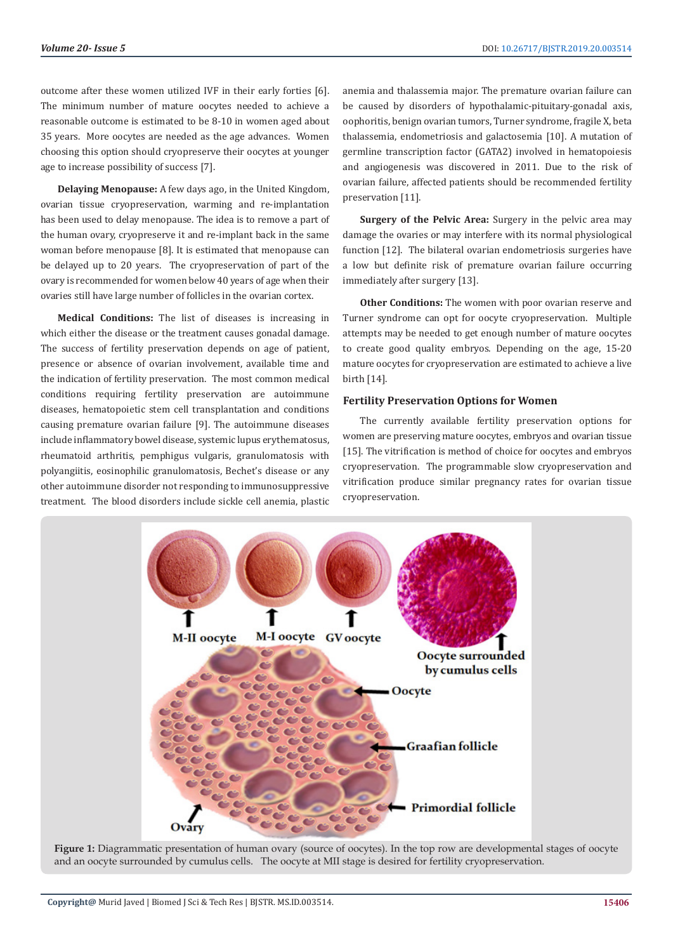outcome after these women utilized IVF in their early forties [6]. The minimum number of mature oocytes needed to achieve a reasonable outcome is estimated to be 8-10 in women aged about 35 years. More oocytes are needed as the age advances. Women choosing this option should cryopreserve their oocytes at younger age to increase possibility of success [7].

**Delaying Menopause:** A few days ago, in the United Kingdom, ovarian tissue cryopreservation, warming and re-implantation has been used to delay menopause. The idea is to remove a part of the human ovary, cryopreserve it and re-implant back in the same woman before menopause [8]. It is estimated that menopause can be delayed up to 20 years. The cryopreservation of part of the ovary is recommended for women below 40 years of age when their ovaries still have large number of follicles in the ovarian cortex.

**Medical Conditions:** The list of diseases is increasing in which either the disease or the treatment causes gonadal damage. The success of fertility preservation depends on age of patient, presence or absence of ovarian involvement, available time and the indication of fertility preservation. The most common medical conditions requiring fertility preservation are autoimmune diseases, hematopoietic stem cell transplantation and conditions causing premature ovarian failure [9]. The autoimmune diseases include inflammatory bowel disease, systemic lupus erythematosus, rheumatoid arthritis, pemphigus vulgaris, granulomatosis with polyangiitis, eosinophilic granulomatosis, Bechet's disease or any other autoimmune disorder not responding to immunosuppressive treatment. The blood disorders include sickle cell anemia, plastic

anemia and thalassemia major. The premature ovarian failure can be caused by disorders of hypothalamic-pituitary-gonadal axis, oophoritis, benign ovarian tumors, Turner syndrome, fragile X, beta thalassemia, endometriosis and galactosemia [10]. A mutation of germline transcription factor (GATA2) involved in hematopoiesis and angiogenesis was discovered in 2011. Due to the risk of ovarian failure, affected patients should be recommended fertility preservation [11].

**Surgery of the Pelvic Area:** Surgery in the pelvic area may damage the ovaries or may interfere with its normal physiological function [12]. The bilateral ovarian endometriosis surgeries have a low but definite risk of premature ovarian failure occurring immediately after surgery [13].

**Other Conditions:** The women with poor ovarian reserve and Turner syndrome can opt for oocyte cryopreservation. Multiple attempts may be needed to get enough number of mature oocytes to create good quality embryos. Depending on the age, 15-20 mature oocytes for cryopreservation are estimated to achieve a live birth [14].

# **Fertility Preservation Options for Women**

The currently available fertility preservation options for women are preserving mature oocytes, embryos and ovarian tissue [15]. The vitrification is method of choice for oocytes and embryos cryopreservation. The programmable slow cryopreservation and vitrification produce similar pregnancy rates for ovarian tissue cryopreservation.



**Figure 1:** Diagrammatic presentation of human ovary (source of oocytes). In the top row are developmental stages of oocyte and an oocyte surrounded by cumulus cells. The oocyte at MII stage is desired for fertility cryopreservation.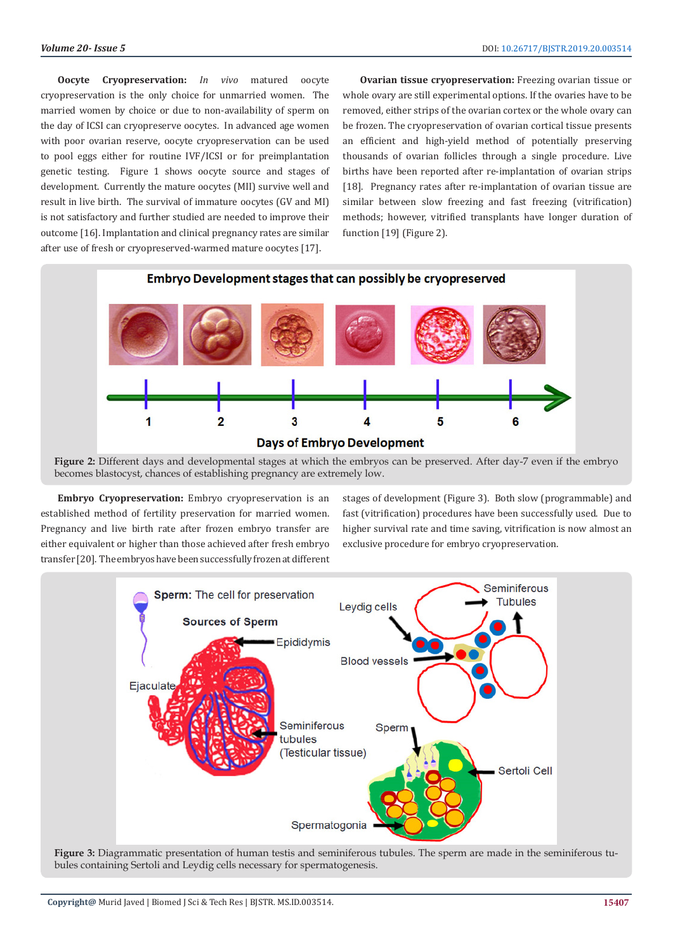**Oocyte Cryopreservation:** *In vivo* matured oocyte cryopreservation is the only choice for unmarried women. The married women by choice or due to non-availability of sperm on the day of ICSI can cryopreserve oocytes. In advanced age women with poor ovarian reserve, oocyte cryopreservation can be used to pool eggs either for routine IVF/ICSI or for preimplantation genetic testing. Figure 1 shows oocyte source and stages of development. Currently the mature oocytes (MII) survive well and result in live birth. The survival of immature oocytes (GV and MI) is not satisfactory and further studied are needed to improve their outcome [16]. Implantation and clinical pregnancy rates are similar after use of fresh or cryopreserved-warmed mature oocytes [17].

**Ovarian tissue cryopreservation:** Freezing ovarian tissue or whole ovary are still experimental options. If the ovaries have to be removed, either strips of the ovarian cortex or the whole ovary can be frozen. The cryopreservation of ovarian cortical tissue presents an efficient and high-yield method of potentially preserving thousands of ovarian follicles through a single procedure. Live births have been reported after re-implantation of ovarian strips [18]. Pregnancy rates after re-implantation of ovarian tissue are similar between slow freezing and fast freezing (vitrification) methods; however, vitrified transplants have longer duration of function [19] (Figure 2).



**Figure 2:** Different days and developmental stages at which the embryos can be preserved. After day-7 even if the embryo becomes blastocyst, chances of establishing pregnancy are extremely low.

**Embryo Cryopreservation:** Embryo cryopreservation is an established method of fertility preservation for married women. Pregnancy and live birth rate after frozen embryo transfer are either equivalent or higher than those achieved after fresh embryo transfer [20]. The embryos have been successfully frozen at different

stages of development (Figure 3). Both slow (programmable) and fast (vitrification) procedures have been successfully used. Due to higher survival rate and time saving, vitrification is now almost an exclusive procedure for embryo cryopreservation.



**Figure 3:** Diagrammatic presentation of human testis and seminiferous tubules. The sperm are made in the seminiferous tubules containing Sertoli and Leydig cells necessary for spermatogenesis.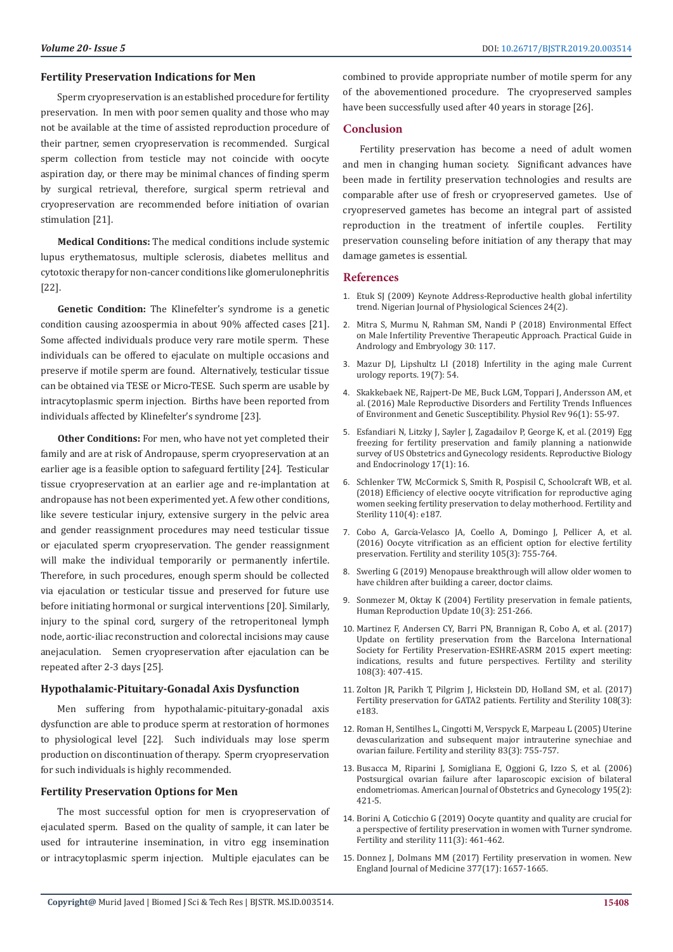### **Fertility Preservation Indications for Men**

Sperm cryopreservation is an established procedure for fertility preservation. In men with poor semen quality and those who may not be available at the time of assisted reproduction procedure of their partner, semen cryopreservation is recommended. Surgical sperm collection from testicle may not coincide with oocyte aspiration day, or there may be minimal chances of finding sperm by surgical retrieval, therefore, surgical sperm retrieval and cryopreservation are recommended before initiation of ovarian stimulation [21].

**Medical Conditions:** The medical conditions include systemic lupus erythematosus, multiple sclerosis, diabetes mellitus and cytotoxic therapy for non-cancer conditions like glomerulonephritis [22].

**Genetic Condition:** The Klinefelter's syndrome is a genetic condition causing azoospermia in about 90% affected cases [21]. Some affected individuals produce very rare motile sperm. These individuals can be offered to ejaculate on multiple occasions and preserve if motile sperm are found. Alternatively, testicular tissue can be obtained via TESE or Micro-TESE. Such sperm are usable by intracytoplasmic sperm injection. Births have been reported from individuals affected by Klinefelter's syndrome [23].

**Other Conditions:** For men, who have not yet completed their family and are at risk of Andropause, sperm cryopreservation at an earlier age is a feasible option to safeguard fertility [24]. Testicular tissue cryopreservation at an earlier age and re-implantation at andropause has not been experimented yet. A few other conditions, like severe testicular injury, extensive surgery in the pelvic area and gender reassignment procedures may need testicular tissue or ejaculated sperm cryopreservation. The gender reassignment will make the individual temporarily or permanently infertile. Therefore, in such procedures, enough sperm should be collected via ejaculation or testicular tissue and preserved for future use before initiating hormonal or surgical interventions [20]. Similarly, injury to the spinal cord, surgery of the retroperitoneal lymph node, aortic-iliac reconstruction and colorectal incisions may cause anejaculation. Semen cryopreservation after ejaculation can be repeated after 2-3 days [25].

# **Hypothalamic-Pituitary-Gonadal Axis Dysfunction**

Men suffering from hypothalamic-pituitary-gonadal axis dysfunction are able to produce sperm at restoration of hormones to physiological level [22]. Such individuals may lose sperm production on discontinuation of therapy. Sperm cryopreservation for such individuals is highly recommended.

## **Fertility Preservation Options for Men**

The most successful option for men is cryopreservation of ejaculated sperm. Based on the quality of sample, it can later be used for intrauterine insemination, in vitro egg insemination or intracytoplasmic sperm injection. Multiple ejaculates can be

combined to provide appropriate number of motile sperm for any of the abovementioned procedure. The cryopreserved samples have been successfully used after 40 years in storage [26].

#### **Conclusion**

Fertility preservation has become a need of adult women and men in changing human society. Significant advances have been made in fertility preservation technologies and results are comparable after use of fresh or cryopreserved gametes. Use of cryopreserved gametes has become an integral part of assisted reproduction in the treatment of infertile couples. Fertility preservation counseling before initiation of any therapy that may damage gametes is essential.

#### **References**

- 1. [Etuk SJ \(2009\) Keynote Address-Reproductive health global infertility](https://www.ncbi.nlm.nih.gov/pubmed/20234744) [trend. Nigerian Journal of Physiological Sciences 24\(2\).](https://www.ncbi.nlm.nih.gov/pubmed/20234744)
- 2. Mitra S, Murmu N, Rahman SM, Nandi P (2018) Environmental Effect on Male Infertility Preventive Therapeutic Approach. Practical Guide in Andrology and Embryology 30: 117.
- 3. [Mazur DJ, Lipshultz LI \(2018\) Infertility in the aging male Current](https://www.ncbi.nlm.nih.gov/pubmed/29774447) [urology reports. 19\(7\): 54.](https://www.ncbi.nlm.nih.gov/pubmed/29774447)
- 4. [Skakkebaek NE, Rajpert-De ME, Buck LGM, Toppari J, Andersson AM, et](https://www.ncbi.nlm.nih.gov/pubmed/26582516) [al. \(2016\) Male Reproductive Disorders and Fertility Trends Influences](https://www.ncbi.nlm.nih.gov/pubmed/26582516) [of Environment and Genetic Susceptibility. Physiol Rev 96\(1\): 55-97](https://www.ncbi.nlm.nih.gov/pubmed/26582516).
- 5. [Esfandiari N, Litzky J, Sayler J, Zagadailov P, George K, et al. \(2019\) Egg](https://rbej.biomedcentral.com/articles/10.1186/s12958-019-0459-x) [freezing for fertility preservation and family planning a nationwide](https://rbej.biomedcentral.com/articles/10.1186/s12958-019-0459-x) [survey of US Obstetrics and Gynecology residents. Reproductive Biology](https://rbej.biomedcentral.com/articles/10.1186/s12958-019-0459-x) [and Endocrinology 17\(1\): 16.](https://rbej.biomedcentral.com/articles/10.1186/s12958-019-0459-x)
- 6. [Schlenker TW, McCormick S, Smith R, Pospisil C, Schoolcraft WB, et al.](https://www.fertstert.org/article/S0015-0282(18)31140-3/fulltext) [\(2018\) Efficiency of elective oocyte vitrification for reproductive aging](https://www.fertstert.org/article/S0015-0282(18)31140-3/fulltext) [women seeking fertility preservation to delay motherhood. Fertility and](https://www.fertstert.org/article/S0015-0282(18)31140-3/fulltext) [Sterility 110\(4\): e187.](https://www.fertstert.org/article/S0015-0282(18)31140-3/fulltext)
- 7. Cobo A, Garcí[a-Velasco JA, Coello A, Domingo J, Pellicer A, et al.](https://www.ncbi.nlm.nih.gov/pubmed/26688429) [\(2016\) Oocyte vitrification as an efficient option for elective fertility](https://www.ncbi.nlm.nih.gov/pubmed/26688429) [preservation. Fertility and sterility 105\(3\): 755-764.](https://www.ncbi.nlm.nih.gov/pubmed/26688429)
- 8. [Swerling G \(2019\) Menopause breakthrough will allow older women to](https://www.telegraph.co.uk/news/2019/08/04/menopause-breakthrough-will-allow-older-women-have-children/) [have children after building a career, doctor claims.](https://www.telegraph.co.uk/news/2019/08/04/menopause-breakthrough-will-allow-older-women-have-children/)
- 9. [Sonmezer M, Oktay K \(2004\) Fertility preservation in female patients,](https://www.ncbi.nlm.nih.gov/pubmed/15140872) [Human Reproduction Update 10\(3\): 251-266.](https://www.ncbi.nlm.nih.gov/pubmed/15140872)
- 10. [Martinez F, Andersen CY, Barri PN, Brannigan R, Cobo A, et al. \(2017\)](https://www.ncbi.nlm.nih.gov/pubmed/28739117) [Update on fertility preservation from the Barcelona International](https://www.ncbi.nlm.nih.gov/pubmed/28739117) [Society for Fertility Preservation-ESHRE-ASRM 2015 expert meeting:](https://www.ncbi.nlm.nih.gov/pubmed/28739117) [indications, results and future perspectives. Fertility and sterility](https://www.ncbi.nlm.nih.gov/pubmed/28739117) [108\(3\): 407-415.](https://www.ncbi.nlm.nih.gov/pubmed/28739117)
- 11. [Zolton JR, Parikh T, Pilgrim J, Hickstein DD, Holland SM, et al. \(2017\)](https://www.fertstert.org/article/S0015-0282(17)31066-X/fulltext) [Fertility preservation for GATA2 patients. Fertility and Sterility 108\(3\):](https://www.fertstert.org/article/S0015-0282(17)31066-X/fulltext) [e183.](https://www.fertstert.org/article/S0015-0282(17)31066-X/fulltext)
- 12. [Roman H, Sentilhes L, Cingotti M, Verspyck E, Marpeau L \(2005\) Uterine](https://www.fertstert.org/article/S0015-0282(04)03001-8/fulltext) [devascularization and subsequent major intrauterine synechiae and](https://www.fertstert.org/article/S0015-0282(04)03001-8/fulltext) [ovarian failure. Fertility and sterility 83\(3\): 755-757.](https://www.fertstert.org/article/S0015-0282(04)03001-8/fulltext)
- 13. [Busacca M, Riparini J, Somigliana E, Oggioni G, Izzo S, et al. \(2006\)](https://www.ajog.org/article/S0002-9378(06)00451-0/abstract) [Postsurgical ovarian failure after laparoscopic excision of bilateral](https://www.ajog.org/article/S0002-9378(06)00451-0/abstract) [endometriomas. American Journal of Obstetrics and Gynecology 195\(2\):](https://www.ajog.org/article/S0002-9378(06)00451-0/abstract) [421-5.](https://www.ajog.org/article/S0002-9378(06)00451-0/abstract)
- 14. [Borini A, Coticchio G \(2019\) Oocyte quantity and quality are crucial for](https://www.fertstert.org/article/S0015-0282(18)32295-7/fulltext) [a perspective of fertility preservation in women with Turner syndrome.](https://www.fertstert.org/article/S0015-0282(18)32295-7/fulltext) [Fertility and sterility 111\(3\): 461-462.](https://www.fertstert.org/article/S0015-0282(18)32295-7/fulltext)
- 15. [Donnez J, Dolmans MM \(2017\) Fertility preservation in women. New](https://www.ncbi.nlm.nih.gov/pubmed/29365297) [England Journal of Medicine 377\(17\): 1657-1665.](https://www.ncbi.nlm.nih.gov/pubmed/29365297)